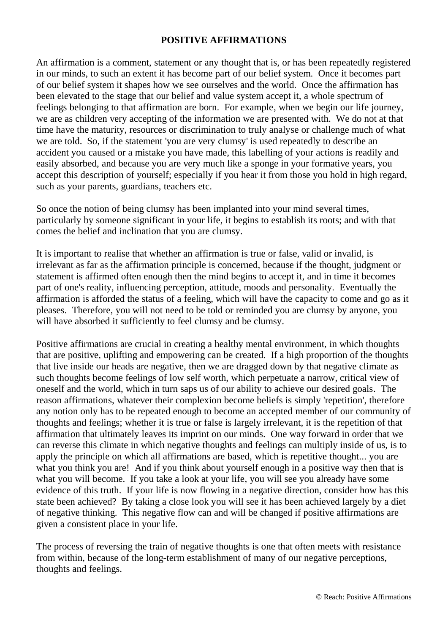## **POSITIVE AFFIRMATIONS**

An affirmation is a comment, statement or any thought that is, or has been repeatedly registered in our minds, to such an extent it has become part of our belief system. Once it becomes part of our belief system it shapes how we see ourselves and the world. Once the affirmation has been elevated to the stage that our belief and value system accept it, a whole spectrum of feelings belonging to that affirmation are born. For example, when we begin our life journey, we are as children very accepting of the information we are presented with. We do not at that time have the maturity, resources or discrimination to truly analyse or challenge much of what we are told. So, if the statement 'you are very clumsy' is used repeatedly to describe an accident you caused or a mistake you have made, this labelling of your actions is readily and easily absorbed, and because you are very much like a sponge in your formative years, you accept this description of yourself; especially if you hear it from those you hold in high regard, such as your parents, guardians, teachers etc.

So once the notion of being clumsy has been implanted into your mind several times, particularly by someone significant in your life, it begins to establish its roots; and with that comes the belief and inclination that you are clumsy.

It is important to realise that whether an affirmation is true or false, valid or invalid, is irrelevant as far as the affirmation principle is concerned, because if the thought, judgment or statement is affirmed often enough then the mind begins to accept it, and in time it becomes part of one's reality, influencing perception, attitude, moods and personality. Eventually the affirmation is afforded the status of a feeling, which will have the capacity to come and go as it pleases. Therefore, you will not need to be told or reminded you are clumsy by anyone, you will have absorbed it sufficiently to feel clumsy and be clumsy.

Positive affirmations are crucial in creating a healthy mental environment, in which thoughts that are positive, uplifting and empowering can be created. If a high proportion of the thoughts that live inside our heads are negative, then we are dragged down by that negative climate as such thoughts become feelings of low self worth, which perpetuate a narrow, critical view of oneself and the world, which in turn saps us of our ability to achieve our desired goals. The reason affirmations, whatever their complexion become beliefs is simply 'repetition', therefore any notion only has to be repeated enough to become an accepted member of our community of thoughts and feelings; whether it is true or false is largely irrelevant, it is the repetition of that affirmation that ultimately leaves its imprint on our minds. One way forward in order that we can reverse this climate in which negative thoughts and feelings can multiply inside of us, is to apply the principle on which all affirmations are based, which is repetitive thought... you are what you think you are! And if you think about yourself enough in a positive way then that is what you will become. If you take a look at your life, you will see you already have some evidence of this truth. If your life is now flowing in a negative direction, consider how has this state been achieved? By taking a close look you will see it has been achieved largely by a diet of negative thinking. This negative flow can and will be changed if positive affirmations are given a consistent place in your life.

The process of reversing the train of negative thoughts is one that often meets with resistance from within, because of the long-term establishment of many of our negative perceptions, thoughts and feelings.